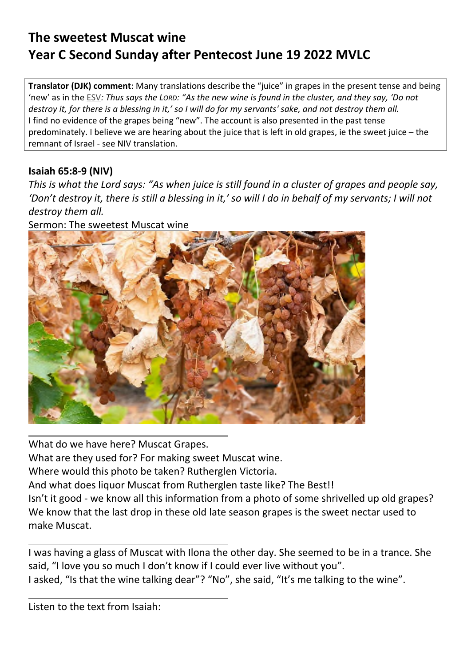## **The sweetest Muscat wine Year C Second Sunday after Pentecost June 19 2022 MVLC**

**Translator (DJK) comment**: Many translations describe the "juice" in grapes in the present tense and being 'new' as in the ESV*: Thus says the LORD: "As the new wine is found in the cluster, and they say, 'Do not destroy it, for there is a blessing in it,' so I will do for my servants' sake, and not destroy them all.*  I find no evidence of the grapes being "new". The account is also presented in the past tense predominately. I believe we are hearing about the juice that is left in old grapes, ie the sweet juice – the remnant of Israel - see NIV translation.

## **Isaiah 65:8-9 (NIV)**

*This is what the Lord says: "As when juice is still found in a cluster of grapes and people say, 'Don't destroy it, there is still a blessing in it,' so will I do in behalf of my servants; I will not destroy them all.* 

Sermon: The sweetest Muscat wine



What do we have here? Muscat Grapes. What are they used for? For making sweet Muscat wine. Where would this photo be taken? Rutherglen Victoria. And what does liquor Muscat from Rutherglen taste like? The Best!! Isn't it good - we know all this information from a photo of some shrivelled up old grapes? We know that the last drop in these old late season grapes is the sweet nectar used to make Muscat.

I was having a glass of Muscat with Ilona the other day. She seemed to be in a trance. She said, "I love you so much I don't know if I could ever live without you". I asked, "Is that the wine talking dear"? "No", she said, "It's me talking to the wine".

Listen to the text from Isaiah: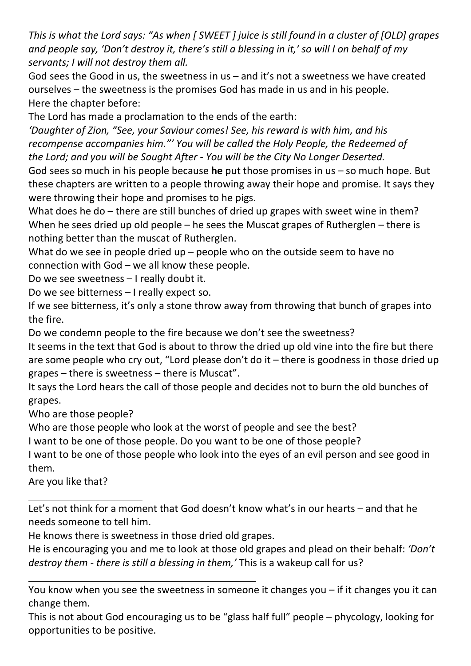*This is what the Lord says: "As when [ SWEET ] juice is still found in a cluster of [OLD] grapes and people say, 'Don't destroy it, there's still a blessing in it,' so will I on behalf of my servants; I will not destroy them all.* 

God sees the Good in us, the sweetness in us – and it's not a sweetness we have created ourselves – the sweetness is the promises God has made in us and in his people. Here the chapter before:

The Lord has made a proclamation to the ends of the earth:

*'Daughter of Zion, "See, your Saviour comes! See, his reward is with him, and his recompense accompanies him."' You will be called the Holy People, the Redeemed of the Lord; and you will be Sought After - You will be the City No Longer Deserted.* 

God sees so much in his people because **he** put those promises in us – so much hope. But these chapters are written to a people throwing away their hope and promise. It says they were throwing their hope and promises to he pigs.

What does he do – there are still bunches of dried up grapes with sweet wine in them? When he sees dried up old people – he sees the Muscat grapes of Rutherglen – there is nothing better than the muscat of Rutherglen.

What do we see in people dried up – people who on the outside seem to have no connection with God – we all know these people.

Do we see sweetness – I really doubt it.

Do we see bitterness – I really expect so.

If we see bitterness, it's only a stone throw away from throwing that bunch of grapes into the fire.

Do we condemn people to the fire because we don't see the sweetness?

It seems in the text that God is about to throw the dried up old vine into the fire but there are some people who cry out, "Lord please don't do it – there is goodness in those dried up grapes – there is sweetness – there is Muscat".

It says the Lord hears the call of those people and decides not to burn the old bunches of grapes.

Who are those people?

Who are those people who look at the worst of people and see the best?

I want to be one of those people. Do you want to be one of those people?

I want to be one of those people who look into the eyes of an evil person and see good in them.

Are you like that?

Let's not think for a moment that God doesn't know what's in our hearts – and that he needs someone to tell him.

He knows there is sweetness in those dried old grapes.

He is encouraging you and me to look at those old grapes and plead on their behalf: *'Don't destroy them - there is still a blessing in them,'* This is a wakeup call for us?

You know when you see the sweetness in someone it changes you – if it changes you it can change them.

This is not about God encouraging us to be "glass half full" people – phycology, looking for opportunities to be positive.